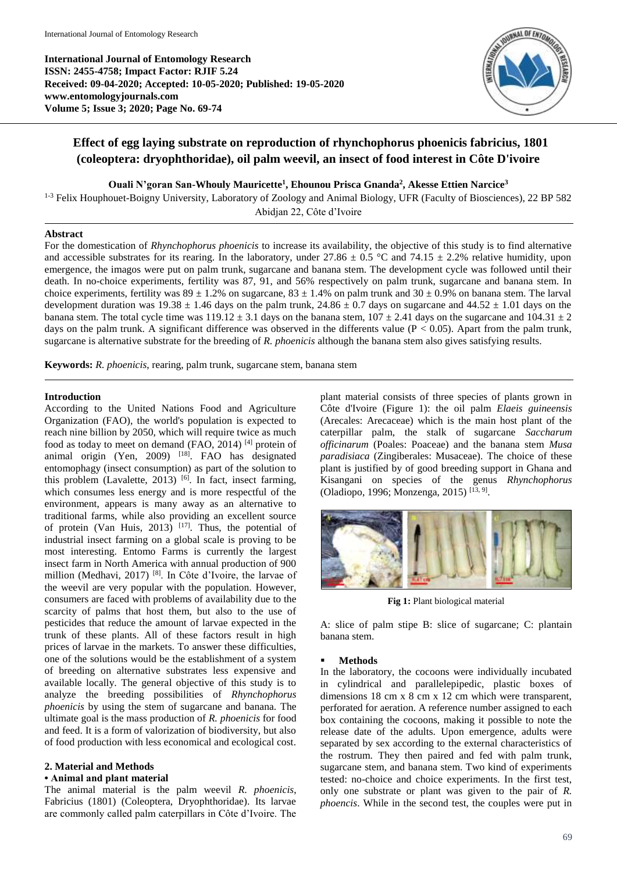**International Journal of Entomology Research ISSN: 2455-4758; Impact Factor: RJIF 5.24 Received: 09-04-2020; Accepted: 10-05-2020; Published: 19-05-2020 www.entomologyjournals.com Volume 5; Issue 3; 2020; Page No. 69-74**



# **Effect of egg laying substrate on reproduction of rhynchophorus phoenicis fabricius, 1801 (coleoptera: dryophthoridae), oil palm weevil, an insect of food interest in Côte D'ivoire**

**Ouali N'goran San-Whouly Mauricette<sup>1</sup> , Ehounou Prisca Gnanda<sup>2</sup> , Akesse Ettien Narcice<sup>3</sup>**

<sup>1-3</sup> Felix Houphouet-Boigny University, Laboratory of Zoology and Animal Biology, UFR (Faculty of Biosciences), 22 BP 582 Abidjan 22, Côte d'Ivoire

### **Abstract**

For the domestication of *Rhynchophorus phoenicis* to increase its availability, the objective of this study is to find alternative and accessible substrates for its rearing. In the laboratory, under  $27.86 \pm 0.5$  °C and  $74.15 \pm 2.2$ % relative humidity, upon emergence, the imagos were put on palm trunk, sugarcane and banana stem. The development cycle was followed until their death. In no-choice experiments, fertility was 87, 91, and 56% respectively on palm trunk, sugarcane and banana stem. In choice experiments, fertility was  $89 \pm 1.2\%$  on sugarcane,  $83 \pm 1.4\%$  on palm trunk and  $30 \pm 0.9\%$  on banana stem. The larval development duration was  $19.38 \pm 1.46$  days on the palm trunk,  $24.86 \pm 0.7$  days on sugarcane and  $44.52 \pm 1.01$  days on the banana stem. The total cycle time was  $119.12 \pm 3.1$  days on the banana stem,  $107 \pm 2.41$  days on the sugarcane and  $104.31 \pm 2$ days on the palm trunk. A significant difference was observed in the differents value ( $P < 0.05$ ). Apart from the palm trunk, sugarcane is alternative substrate for the breeding of *R. phoenicis* although the banana stem also gives satisfying results.

**Keywords:** *R. phoenicis*, rearing, palm trunk, sugarcane stem, banana stem

### **Introduction**

According to the United Nations Food and Agriculture Organization (FAO), the world's population is expected to reach nine billion by 2050, which will require twice as much food as today to meet on demand  $(FAO, 2014)$ <sup>[4]</sup> protein of animal origin (Yen, 2009) <sup>[18]</sup>. FAO has designated entomophagy (insect consumption) as part of the solution to this problem (Lavalette, 2013)<sup>[6]</sup>. In fact, insect farming, which consumes less energy and is more respectful of the environment, appears is many away as an alternative to traditional farms, while also providing an excellent source of protein (Van Huis, 2013)  $[17]$ . Thus, the potential of industrial insect farming on a global scale is proving to be most interesting. Entomo Farms is currently the largest insect farm in North America with annual production of 900 million (Medhavi, 2017) [8] . In Côte d'Ivoire, the larvae of the weevil are very popular with the population. However, consumers are faced with problems of availability due to the scarcity of palms that host them, but also to the use of pesticides that reduce the amount of larvae expected in the trunk of these plants. All of these factors result in high prices of larvae in the markets. To answer these difficulties, one of the solutions would be the establishment of a system of breeding on alternative substrates less expensive and available locally. The general objective of this study is to analyze the breeding possibilities of *Rhynchophorus phoenicis* by using the stem of sugarcane and banana. The ultimate goal is the mass production of *R. phoenicis* for food and feed. It is a form of valorization of biodiversity, but also of food production with less economical and ecological cost.

# **2. Material and Methods**

### **• Animal and plant material**

The animal material is the palm weevil *R. phoenicis*, Fabricius (1801) (Coleoptera, Dryophthoridae). Its larvae are commonly called palm caterpillars in Côte d'Ivoire. The

plant material consists of three species of plants grown in Côte d'Ivoire (Figure 1): the oil palm *Elaeis guineensis* (Arecales: Arecaceae) which is the main host plant of the caterpillar palm, the stalk of sugarcane *Saccharum officinarum* (Poales: Poaceae) and the banana stem *Musa paradisiaca* (Zingiberales: Musaceae). The choice of these plant is justified by of good breeding support in Ghana and Kisangani on species of the genus *Rhynchophorus* (Oladiopo, 1996; Monzenga, 2015)<sup>[13, 9]</sup>.



**Fig 1:** Plant biological material

A: slice of palm stipe B: slice of sugarcane; C: plantain banana stem.

### **Methods**

In the laboratory, the cocoons were individually incubated in cylindrical and parallelepipedic, plastic boxes of dimensions 18 cm x 8 cm x 12 cm which were transparent, perforated for aeration. A reference number assigned to each box containing the cocoons, making it possible to note the release date of the adults. Upon emergence, adults were separated by sex according to the external characteristics of the rostrum. They then paired and fed with palm trunk, sugarcane stem, and banana stem. Two kind of experiments tested: no-choice and choice experiments. In the first test, only one substrate or plant was given to the pair of *R. phoencis*. While in the second test, the couples were put in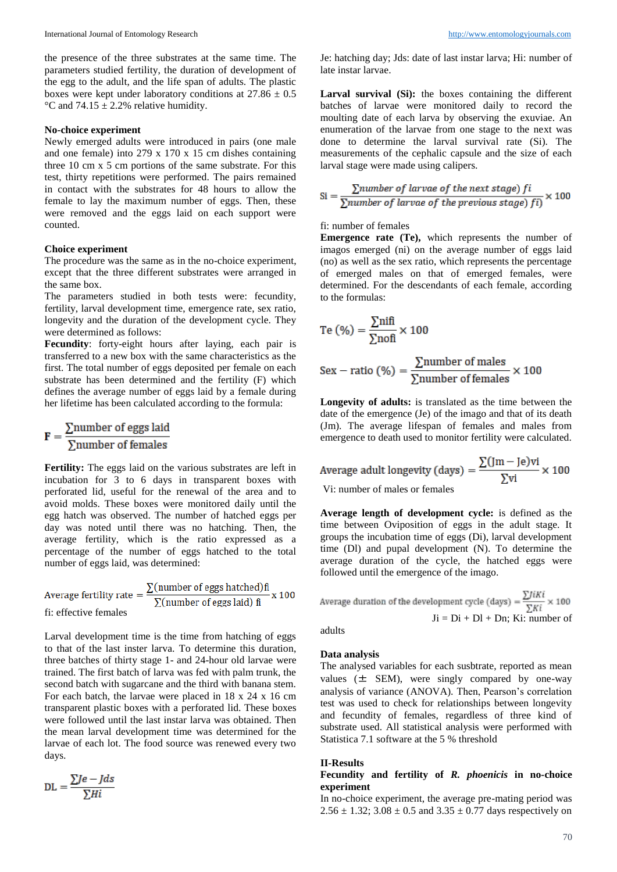the presence of the three substrates at the same time. The parameters studied fertility, the duration of development of the egg to the adult, and the life span of adults. The plastic boxes were kept under laboratory conditions at  $27.86 \pm 0.5$ °C and 74.15  $\pm$  2.2% relative humidity.

### **No-choice experiment**

Newly emerged adults were introduced in pairs (one male and one female) into 279 x 170 x 15 cm dishes containing three 10 cm x 5 cm portions of the same substrate. For this test, thirty repetitions were performed. The pairs remained in contact with the substrates for 48 hours to allow the female to lay the maximum number of eggs. Then, these were removed and the eggs laid on each support were counted.

### **Choice experiment**

The procedure was the same as in the no-choice experiment, except that the three different substrates were arranged in the same box.

The parameters studied in both tests were: fecundity, fertility, larval development time, emergence rate, sex ratio, longevity and the duration of the development cycle. They were determined as follows:

**Fecundity**: forty-eight hours after laying, each pair is transferred to a new box with the same characteristics as the first. The total number of eggs deposited per female on each substrate has been determined and the fertility (F) which defines the average number of eggs laid by a female during her lifetime has been calculated according to the formula:

$$
\mathbf{F} = \frac{\sum \text{number of eggs laid}}{\sum \text{number of females}}
$$

**Fertility:** The eggs laid on the various substrates are left in incubation for 3 to 6 days in transparent boxes with perforated lid, useful for the renewal of the area and to avoid molds. These boxes were monitored daily until the egg hatch was observed. The number of hatched eggs per day was noted until there was no hatching. Then, the average fertility, which is the ratio expressed as a percentage of the number of eggs hatched to the total number of eggs laid, was determined:

Average fertility rate  $=$   $\frac{\sum(\text{number of eggs hatched})\hat{\mathbf{n}}}{\sum(\text{number of eggs laid})\hat{\mathbf{n}}}$  x 100 fi: effective females

Larval development time is the time from hatching of eggs to that of the last inster larva. To determine this duration, three batches of thirty stage 1- and 24-hour old larvae were trained. The first batch of larva was fed with palm trunk, the second batch with sugarcane and the third with banana stem. For each batch, the larvae were placed in 18 x 24 x 16 cm transparent plastic boxes with a perforated lid. These boxes were followed until the last instar larva was obtained. Then the mean larval development time was determined for the larvae of each lot. The food source was renewed every two days.

$$
DL = \frac{\sum Je - Jds}{\sum Hi}
$$

Je: hatching day; Jds: date of last instar larva; Hi: number of late instar larvae.

Larval survival (Si): the boxes containing the different batches of larvae were monitored daily to record the moulting date of each larva by observing the exuviae. An enumeration of the larvae from one stage to the next was done to determine the larval survival rate (Si). The measurements of the cephalic capsule and the size of each larval stage were made using calipers.

$$
Si = \frac{\sum number of larvae of the next stage}{\sum number of larvae of the previous stage)} \times 100
$$

### fi: number of females

**Emergence rate (Te),** which represents the number of imagos emerged (ni) on the average number of eggs laid (no) as well as the sex ratio, which represents the percentage of emerged males on that of emerged females, were determined. For the descendants of each female, according to the formulas:

$$
Te\ (\%) = \frac{\sum nifi}{\sum nofi} \times 100
$$

$$
Sex - ratio (\%) = \frac{\sum number of males}{\sum number of females} \times 100
$$

**Longevity of adults:** is translated as the time between the date of the emergence (Je) of the imago and that of its death (Jm). The average lifespan of females and males from emergence to death used to monitor fertility were calculated.

Average adult longevity (days) = 
$$
\frac{\sum (Jm - Je)vi}{\sum vi} \times 100
$$

Vi: number of males or females

**Average length of development cycle:** is defined as the time between Oviposition of eggs in the adult stage. It groups the incubation time of eggs (Di), larval development time (Dl) and pupal development (N). To determine the average duration of the cycle, the hatched eggs were followed until the emergence of the imago.

Average duration of the development cycle (days) =  $\frac{\sum j_i K_i}{\sum K_i} \times 100$  $Ji = Di + Di + Dn$ ; Ki: number of

adults

# **Data analysis**

The analysed variables for each susbtrate, reported as mean values  $(\pm$  SEM), were singly compared by one-way analysis of variance (ANOVA). Then, Pearson's correlation test was used to check for relationships between longevity and fecundity of females, regardless of three kind of substrate used. All statistical analysis were performed with Statistica 7.1 software at the 5 % threshold

### **II-Results**

## **Fecundity and fertility of** *R. phoenicis* **in no-choice experiment**

In no-choice experiment, the average pre-mating period was  $2.56 \pm 1.32$ ;  $3.08 \pm 0.5$  and  $3.35 \pm 0.77$  days respectively on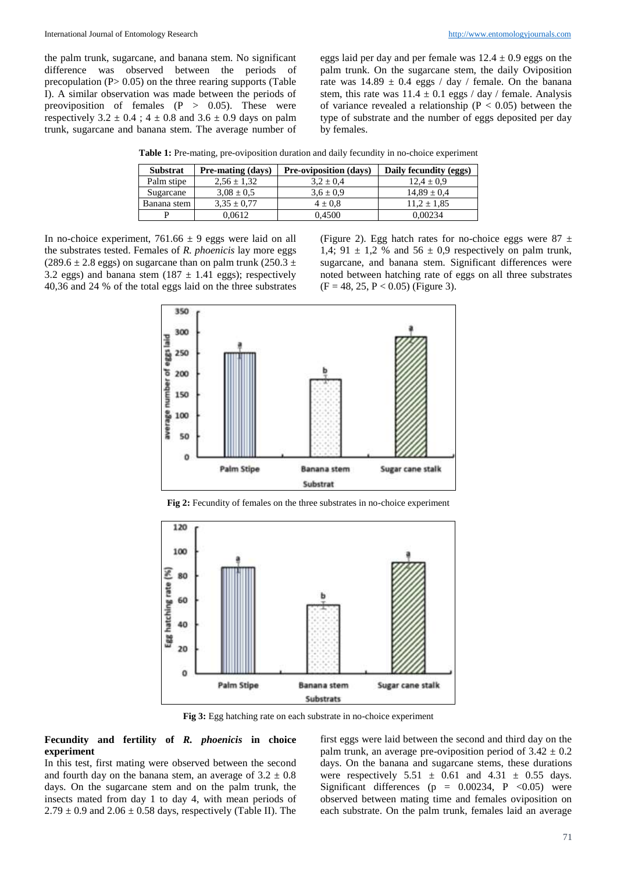the palm trunk, sugarcane, and banana stem. No significant difference was observed between the periods of precopulation  $(P > 0.05)$  on the three rearing supports (Table I). A similar observation was made between the periods of preoviposition of females  $(P > 0.05)$ . These were respectively  $3.2 \pm 0.4$ ;  $4 \pm 0.8$  and  $3.6 \pm 0.9$  days on palm trunk, sugarcane and banana stem. The average number of eggs laid per day and per female was  $12.4 \pm 0.9$  eggs on the palm trunk. On the sugarcane stem, the daily Oviposition rate was  $14.89 \pm 0.4$  eggs / day / female. On the banana stem, this rate was  $11.4 \pm 0.1$  eggs / day / female. Analysis of variance revealed a relationship ( $P < 0.05$ ) between the type of substrate and the number of eggs deposited per day by females.

**Table 1:** Pre-mating, pre-oviposition duration and daily fecundity in no-choice experiment

| <b>Substrat</b> | <b>Pre-mating (days)</b> | <b>Pre-oviposition (days)</b> | Daily fecundity (eggs) |
|-----------------|--------------------------|-------------------------------|------------------------|
| Palm stipe      | $2.56 \pm 1.32$          | $3.2 \pm 0.4$                 | $12.4 \pm 0.9$         |
| Sugarcane       | $3.08 \pm 0.5$           | $3.6 \pm 0.9$                 | $14.89 \pm 0.4$        |
| Banana stem     | $3.35 \pm 0.77$          | $4 \pm 0.8$                   | $11.2 \pm 1.85$        |
| D               | 0.0612                   | 0.4500                        | 0.00234                |

In no-choice experiment,  $761.66 \pm 9$  eggs were laid on all the substrates tested. Females of *R. phoenicis* lay more eggs (289.6  $\pm$  2.8 eggs) on sugarcane than on palm trunk (250.3  $\pm$ 3.2 eggs) and banana stem (187  $\pm$  1.41 eggs); respectively 40,36 and 24 % of the total eggs laid on the three substrates

(Figure 2). Egg hatch rates for no-choice eggs were  $87 \pm$ 1,4; 91  $\pm$  1,2 % and 56  $\pm$  0,9 respectively on palm trunk, sugarcane, and banana stem. Significant differences were noted between hatching rate of eggs on all three substrates  $(F = 48, 25, P < 0.05)$  (Figure 3).



**Fig 2:** Fecundity of females on the three substrates in no-choice experiment



**Fig 3:** Egg hatching rate on each substrate in no-choice experiment

**Fecundity and fertility of** *R. phoenicis* **in choice experiment**

In this test, first mating were observed between the second and fourth day on the banana stem, an average of  $3.2 \pm 0.8$ days. On the sugarcane stem and on the palm trunk, the insects mated from day 1 to day 4, with mean periods of  $2.79 \pm 0.9$  and  $2.06 \pm 0.58$  days, respectively (Table II). The

first eggs were laid between the second and third day on the palm trunk, an average pre-oviposition period of  $3.42 \pm 0.2$ days. On the banana and sugarcane stems, these durations were respectively  $5.51 \pm 0.61$  and  $4.31 \pm 0.55$  days. Significant differences ( $p = 0.00234$ ,  $P < 0.05$ ) were observed between mating time and females oviposition on each substrate. On the palm trunk, females laid an average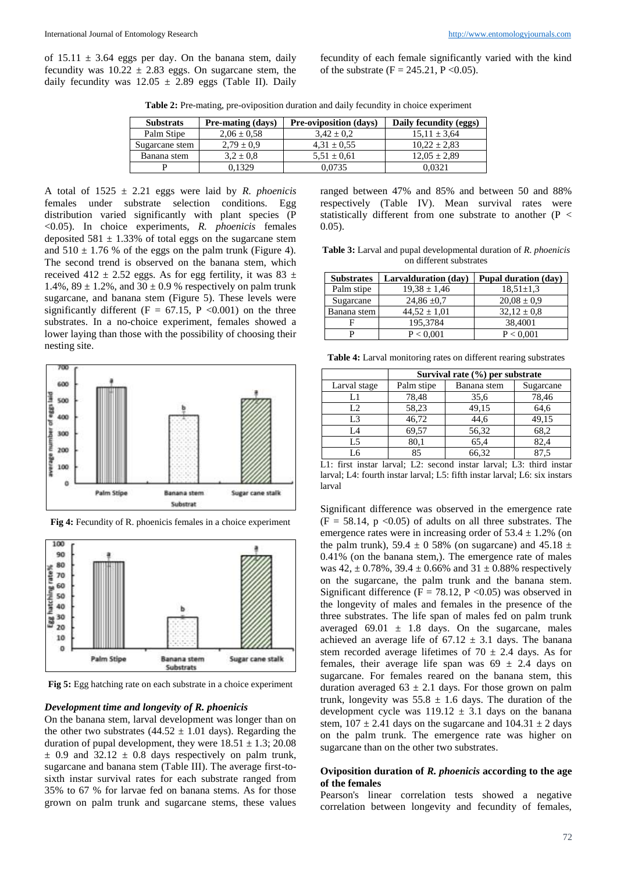of  $15.11 \pm 3.64$  eggs per day. On the banana stem, daily fecundity was  $10.22 \pm 2.83$  eggs. On sugarcane stem, the daily fecundity was  $12.05 \pm 2.89$  eggs (Table II). Daily

fecundity of each female significantly varied with the kind of the substrate (F = 245.21, P < 0.05).

**Table 2:** Pre-mating, pre-oviposition duration and daily fecundity in choice experiment

| <b>Substrats</b> | <b>Pre-mating (days)</b> | <b>Pre-oviposition (days)</b> | Daily fecundity (eggs) |
|------------------|--------------------------|-------------------------------|------------------------|
| Palm Stipe       | $2.06 \pm 0.58$          | $3.42 \pm 0.2$                | $15.11 \pm 3.64$       |
| Sugarcane stem   | $2.79 \pm 0.9$           | $4.31 \pm 0.55$               | $10.22 \pm 2.83$       |
| Banana stem      | $3.2 \pm 0.8$            | $5.51 \pm 0.61$               | $12.05 \pm 2.89$       |
|                  | 0.1329                   | 0.0735                        | 0.0321                 |

A total of 1525 ± 2.21 eggs were laid by *R. phoenicis* females under substrate selection conditions. Egg distribution varied significantly with plant species (P <0.05). In choice experiments, *R. phoenicis* females deposited  $581 \pm 1.33\%$  of total eggs on the sugarcane stem and  $510 \pm 1.76$  % of the eggs on the palm trunk (Figure 4). The second trend is observed on the banana stem, which received 412  $\pm$  2.52 eggs. As for egg fertility, it was 83  $\pm$ 1.4%,  $89 \pm 1.2$ %, and  $30 \pm 0.9$  % respectively on palm trunk sugarcane, and banana stem (Figure 5). These levels were significantly different ( $F = 67.15$ ,  $P < 0.001$ ) on the three substrates. In a no-choice experiment, females showed a lower laying than those with the possibility of choosing their nesting site.



**Fig 4:** Fecundity of R. phoenicis females in a choice experiment



**Fig 5:** Egg hatching rate on each substrate in a choice experiment

### *Development time and longevity of R. phoenicis*

On the banana stem, larval development was longer than on the other two substrates  $(44.52 \pm 1.01)$  days). Regarding the duration of pupal development, they were  $18.51 \pm 1.3$ ; 20.08  $\pm$  0.9 and 32.12  $\pm$  0.8 days respectively on palm trunk, sugarcane and banana stem (Table III). The average first-tosixth instar survival rates for each substrate ranged from 35% to 67 % for larvae fed on banana stems. As for those grown on palm trunk and sugarcane stems, these values

ranged between 47% and 85% and between 50 and 88% respectively (Table IV). Mean survival rates were statistically different from one substrate to another  $(P <$ 0.05).

**Table 3:** Larval and pupal developmental duration of *R. phoenicis* on different substrates

| <b>Substrates</b> | Larvalduration (dav) | <b>Pupal duration (day)</b> |  |
|-------------------|----------------------|-----------------------------|--|
| Palm stipe        | $19,38 \pm 1,46$     | $18,51 \pm 1,3$             |  |
| Sugarcane         | $24,86 \pm 0.7$      | $20.08 \pm 0.9$             |  |
| Banana stem       | $44.52 \pm 1.01$     | $32.12 \pm 0.8$             |  |
|                   | 195,3784             | 38,4001                     |  |
| D                 | P < 0.001            | P < 0.001                   |  |

**Table 4:** Larval monitoring rates on different rearing substrates

|                | Survival rate (%) per substrate |             |           |  |
|----------------|---------------------------------|-------------|-----------|--|
| Larval stage   | Palm stipe                      | Banana stem | Sugarcane |  |
| L1             | 78,48                           | 35,6        | 78,46     |  |
| L2             | 58,23                           | 49,15       | 64,6      |  |
| L <sub>3</sub> | 46,72                           | 44,6        | 49,15     |  |
| I A            | 69,57                           | 56,32       | 68,2      |  |
| L5             | 80,1                            | 65,4        | 82,4      |  |
| L6             | 85                              | 66,32       | 87.5      |  |

L1: first instar larval; L2: second instar larval; L3: third instar larval; L4: fourth instar larval; L5: fifth instar larval; L6: six instars larval

Significant difference was observed in the emergence rate  $(F = 58.14, p < 0.05)$  of adults on all three substrates. The emergence rates were in increasing order of  $53.4 \pm 1.2\%$  (on the palm trunk), 59.4  $\pm$  0 58% (on sugarcane) and 45.18  $\pm$ 0.41% (on the banana stem,). The emergence rate of males was  $42, \pm 0.78\%$ ,  $39.4 \pm 0.66\%$  and  $31 \pm 0.88\%$  respectively on the sugarcane, the palm trunk and the banana stem. Significant difference (F = 78.12, P < 0.05) was observed in the longevity of males and females in the presence of the three substrates. The life span of males fed on palm trunk averaged  $69.01 \pm 1.8$  days. On the sugarcane, males achieved an average life of  $67.12 \pm 3.1$  days. The banana stem recorded average lifetimes of 70  $\pm$  2.4 days. As for females, their average life span was  $69 \pm 2.4$  days on sugarcane. For females reared on the banana stem, this duration averaged  $63 \pm 2.1$  days. For those grown on palm trunk, longevity was  $55.8 \pm 1.6$  days. The duration of the development cycle was  $119.12 \pm 3.1$  days on the banana stem,  $107 \pm 2.41$  days on the sugarcane and  $104.31 \pm 2$  days on the palm trunk. The emergence rate was higher on sugarcane than on the other two substrates.

### **Oviposition duration of** *R. phoenicis* **according to the age of the females**

Pearson's linear correlation tests showed a negative correlation between longevity and fecundity of females,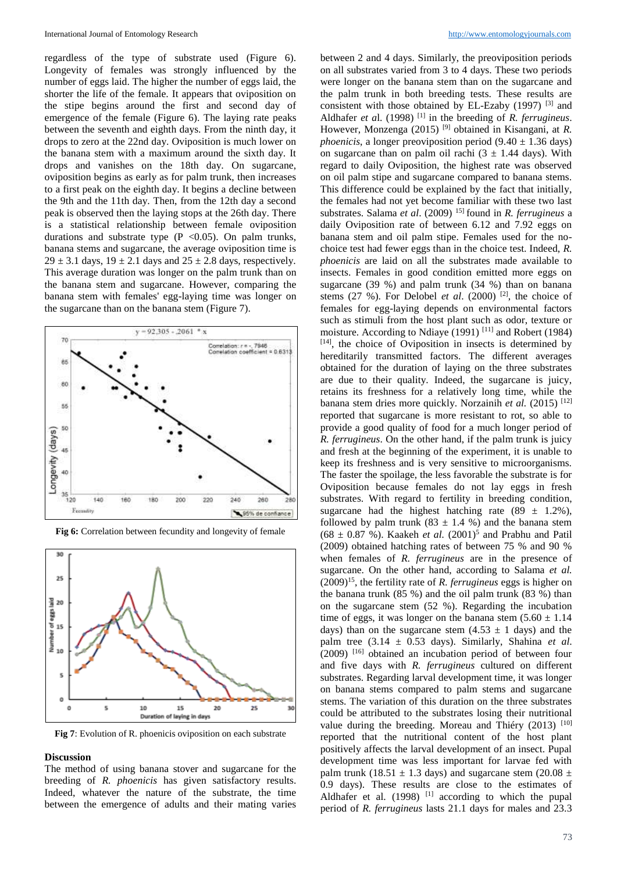regardless of the type of substrate used (Figure 6). Longevity of females was strongly influenced by the number of eggs laid. The higher the number of eggs laid, the shorter the life of the female. It appears that oviposition on the stipe begins around the first and second day of emergence of the female (Figure 6). The laying rate peaks between the seventh and eighth days. From the ninth day, it drops to zero at the 22nd day. Oviposition is much lower on the banana stem with a maximum around the sixth day. It drops and vanishes on the 18th day. On sugarcane, oviposition begins as early as for palm trunk, then increases to a first peak on the eighth day. It begins a decline between the 9th and the 11th day. Then, from the 12th day a second peak is observed then the laying stops at the 26th day. There is a statistical relationship between female oviposition durations and substrate type  $(P \le 0.05)$ . On palm trunks, banana stems and sugarcane, the average oviposition time is  $29 \pm 3.1$  days,  $19 \pm 2.1$  days and  $25 \pm 2.8$  days, respectively. This average duration was longer on the palm trunk than on the banana stem and sugarcane. However, comparing the banana stem with females' egg-laying time was longer on the sugarcane than on the banana stem (Figure 7).





**Fig 6:** Correlation between fecundity and longevity of female

**Fig 7**: Evolution of R. phoenicis oviposition on each substrate

#### **Discussion**

The method of using banana stover and sugarcane for the breeding of *R. phoenicis* has given satisfactory results. Indeed, whatever the nature of the substrate, the time between the emergence of adults and their mating varies

between 2 and 4 days. Similarly, the preoviposition periods on all substrates varied from 3 to 4 days. These two periods were longer on the banana stem than on the sugarcane and the palm trunk in both breeding tests. These results are consistent with those obtained by EL-Ezaby  $(1997)$  <sup>[3]</sup> and Aldhafer *et al.* (1998)<sup>[1]</sup> in the breeding of *R. ferrugineus.* However, Monzenga (2015) [9] obtained in Kisangani, at *R. phoenicis*, a longer preoviposition period  $(9.40 \pm 1.36$  days) on sugarcane than on palm oil rachi  $(3 \pm 1.44 \text{ days})$ . With regard to daily Oviposition, the highest rate was observed on oil palm stipe and sugarcane compared to banana stems. This difference could be explained by the fact that initially, the females had not yet become familiar with these two last substrates. Salama *et al.* (2009) <sup>15]</sup> found in *R. ferrugineus* a daily Oviposition rate of between 6.12 and 7.92 eggs on banana stem and oil palm stipe. Females used for the nochoice test had fewer eggs than in the choice test. Indeed, *R. phoenicis* are laid on all the substrates made available to insects. Females in good condition emitted more eggs on sugarcane (39 %) and palm trunk (34 %) than on banana stems  $(27 \%)$ . For Delobel *et al.*  $(2000)$  <sup>[2]</sup>, the choice of females for egg-laying depends on environmental factors such as stimuli from the host plant such as odor, texture or moisture. According to Ndiaye (1991)<sup>[11]</sup> and Robert (1984) [14] , the choice of Oviposition in insects is determined by hereditarily transmitted factors. The different averages obtained for the duration of laying on the three substrates are due to their quality. Indeed, the sugarcane is juicy, retains its freshness for a relatively long time, while the banana stem dries more quickly. Norzainih et al. (2015) <sup>[12]</sup> reported that sugarcane is more resistant to rot, so able to provide a good quality of food for a much longer period of *R. ferrugineus*. On the other hand, if the palm trunk is juicy and fresh at the beginning of the experiment, it is unable to keep its freshness and is very sensitive to microorganisms. The faster the spoilage, the less favorable the substrate is for Oviposition because females do not lay eggs in fresh substrates. With regard to fertility in breeding condition, sugarcane had the highest hatching rate  $(89 \pm 1.2\%)$ , followed by palm trunk (83  $\pm$  1.4 %) and the banana stem  $(68 \pm 0.87 \%)$ . Kaakeh *et al.*  $(2001)^5$  and Prabhu and Patil (2009) obtained hatching rates of between 75 % and 90 % when females of *R. ferrugineus* are in the presence of sugarcane. On the other hand, according to Salama *et al.* (2009)<sup>15</sup>, the fertility rate of *R. ferrugineus* eggs is higher on the banana trunk (85 %) and the oil palm trunk (83 %) than on the sugarcane stem (52 %). Regarding the incubation time of eggs, it was longer on the banana stem  $(5.60 \pm 1.14)$ days) than on the sugarcane stem  $(4.53 \pm 1$  days) and the palm tree  $(3.14 \pm 0.53 \text{ days})$ . Similarly, Shahina *et al.*  $(2009)$  <sup>[16]</sup> obtained an incubation period of between four and five days with *R. ferrugineus* cultured on different substrates. Regarding larval development time, it was longer on banana stems compared to palm stems and sugarcane stems. The variation of this duration on the three substrates could be attributed to the substrates losing their nutritional value during the breeding. Moreau and Thiéry  $(2013)$ <sup>[10]</sup> reported that the nutritional content of the host plant positively affects the larval development of an insect. Pupal development time was less important for larvae fed with palm trunk (18.51  $\pm$  1.3 days) and sugarcane stem (20.08  $\pm$ 0.9 days). These results are close to the estimates of Aldhafer et al.  $(1998)$ <sup>[1]</sup> according to which the pupal period of *R. ferrugineus* lasts 21.1 days for males and 23.3